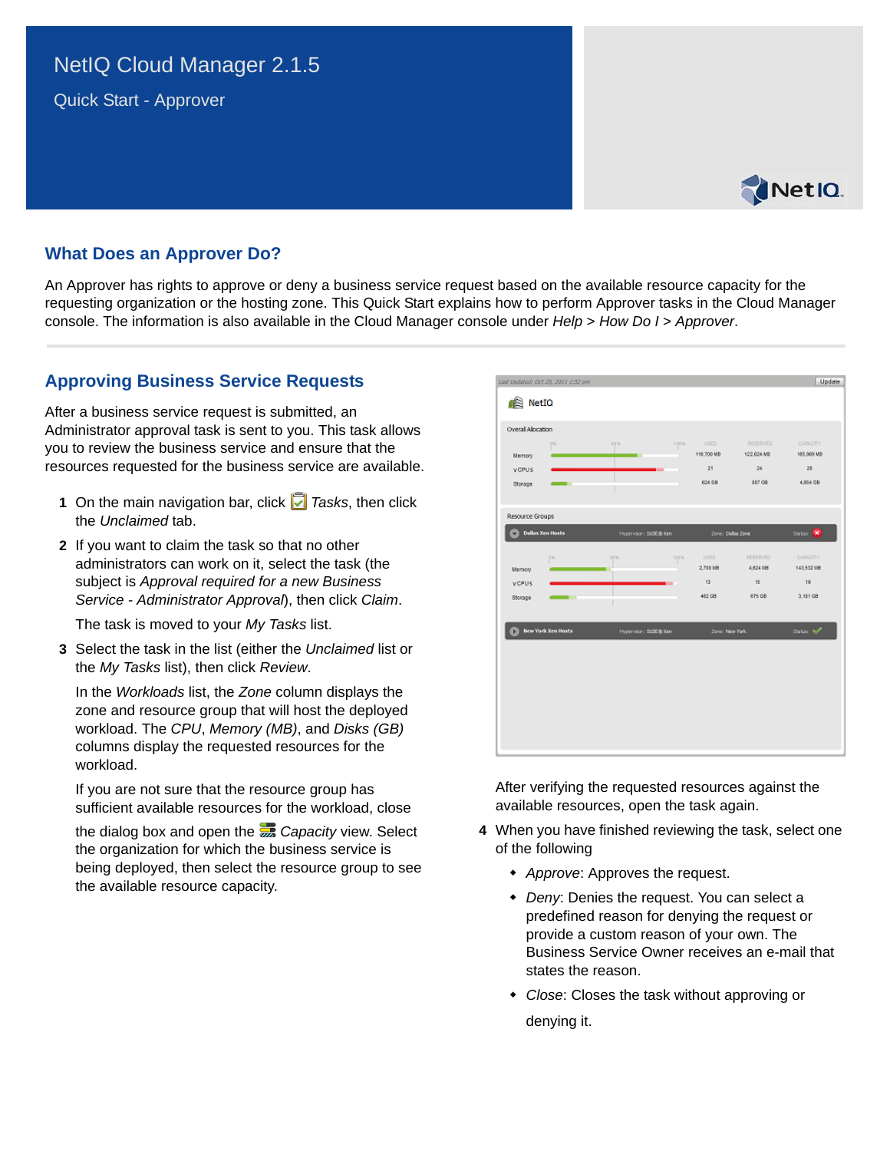# NetIQ Cloud Manager 2.1.5

Quick Start - Approver



## **What Does an Approver Do?**

An Approver has rights to approve or deny a business service request based on the available resource capacity for the requesting organization or the hosting zone. This Quick Start explains how to perform Approver tasks in the Cloud Manager console. The information is also available in the Cloud Manager console under *Help* > *How Do I* > *Approver*.

## **Approving Business Service Requests**

After a business service request is submitted, an Administrator approval task is sent to you. This task allows you to review the business service and ensure that the resources requested for the business service are available.

- **1** On the main navigation bar, click *Tasks*, then click the *Unclaimed* tab.
- **2** If you want to claim the task so that no other administrators can work on it, select the task (the subject is *Approval required for a new Business Service - Administrator Approval*), then click *Claim*.

The task is moved to your *My Tasks* list.

**3** Select the task in the list (either the *Unclaimed* list or the *My Tasks* list), then click *Review*.

In the *Workloads* list, the *Zone* column displays the zone and resource group that will host the deployed workload. The *CPU*, *Memory (MB)*, and *Disks (GB)*  columns display the requested resources for the workload.

If you are not sure that the resource group has sufficient available resources for the workload, close

the dialog box and open the *Capacity* view. Select the organization for which the business service is being deployed, then select the resource group to see the available resource capacity.

|                                          | Last Updated: Oct 25, 2011 1:32 pm |                       |      |                                     |                                                       | Update                                          |
|------------------------------------------|------------------------------------|-----------------------|------|-------------------------------------|-------------------------------------------------------|-------------------------------------------------|
| NetIO                                    |                                    |                       |      |                                     |                                                       |                                                 |
| <b>Overal Alocation</b>                  |                                    |                       |      |                                     |                                                       |                                                 |
| Memory<br><b>VCPUS</b><br>Storage        | D%<br>œ                            | 50%<br>÷              | 100% | USED.<br>116,700 MB<br>21<br>624 GB | <b>RESERVED</b><br>122,624 MB<br>24<br>887 08         | CARLCITY<br>165,969 MB<br>28<br>4,854 GB        |
| <b>Resource Groups</b>                   |                                    |                       |      |                                     |                                                       |                                                 |
|                                          | <b>Dallas Xen Hosts</b>            | Hypervisor: SUSE@ Xen |      | Zone: Dallas Zone                   |                                                       | Status: X                                       |
| <b>Memory</b><br><b>VCPUS</b><br>Storage | 0%<br>. .                          | 50%                   | 100% | USED.<br>2,700 MB<br>13<br>462.08   | <b>RESERVED</b><br>4,624 MB<br>$-15$<br><b>875 GB</b> | <b>CARACITY</b><br>143,532108<br>16<br>3,181.08 |
|                                          | <b>New York Xen Hosts</b>          | Hypervisor: SUSE@ Xen |      | Zone: New York                      |                                                       | Sister of                                       |
|                                          |                                    |                       |      |                                     |                                                       |                                                 |
|                                          |                                    |                       |      |                                     |                                                       |                                                 |
|                                          |                                    |                       |      |                                     |                                                       |                                                 |
|                                          |                                    |                       |      |                                     |                                                       |                                                 |

After verifying the requested resources against the available resources, open the task again.

- **4** When you have finished reviewing the task, select one of the following
	- *Approve*: Approves the request.
	- *Deny*: Denies the request. You can select a predefined reason for denying the request or provide a custom reason of your own. The Business Service Owner receives an e-mail that states the reason.
	- *Close*: Closes the task without approving or denying it.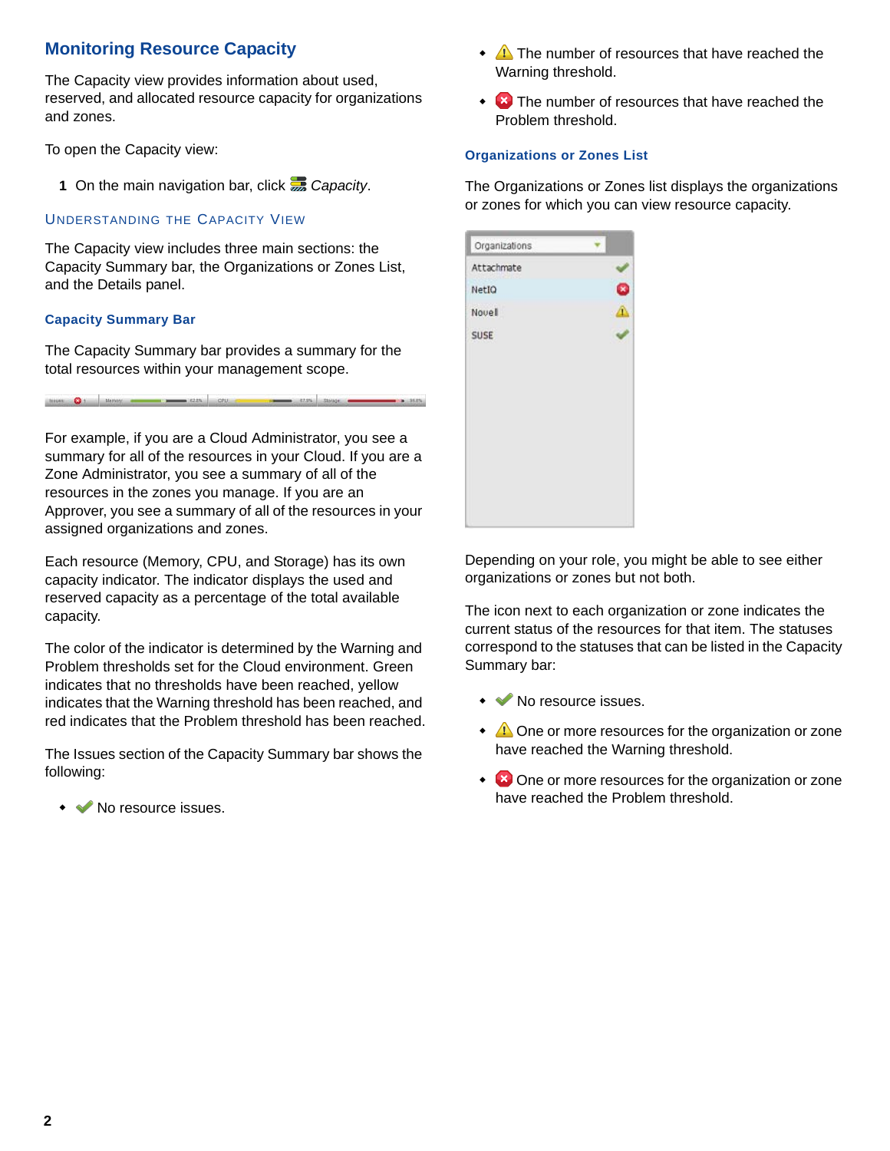## **Monitoring Resource Capacity**

The Capacity view provides information about used, reserved, and allocated resource capacity for organizations and zones.

To open the Capacity view:

**1** On the main navigation bar, click *Capacity*.

### UNDERSTANDING THE CAPACITY VIEW

The Capacity view includes three main sections: the Capacity Summary bar, the Organizations or Zones List, and the Details panel.

#### **Capacity Summary Bar**

The Capacity Summary bar provides a summary for the total resources within your management scope.

For example, if you are a Cloud Administrator, you see a summary for all of the resources in your Cloud. If you are a Zone Administrator, you see a summary of all of the resources in the zones you manage. If you are an Approver, you see a summary of all of the resources in your assigned organizations and zones.

hiust O 1 Nemer Case Case OU C 1 New York Chapter Case 2018

Each resource (Memory, CPU, and Storage) has its own capacity indicator. The indicator displays the used and reserved capacity as a percentage of the total available capacity.

The color of the indicator is determined by the Warning and Problem thresholds set for the Cloud environment. Green indicates that no thresholds have been reached, yellow indicates that the Warning threshold has been reached, and red indicates that the Problem threshold has been reached.

The Issues section of the Capacity Summary bar shows the following:

◆ ◆ No resource issues.

- $\triangle$  The number of resources that have reached the Warning threshold.
- $\cdot$   $\cdot$  The number of resources that have reached the Problem threshold.

#### **Organizations or Zones List**

The Organizations or Zones list displays the organizations or zones for which you can view resource capacity.



Depending on your role, you might be able to see either organizations or zones but not both.

The icon next to each organization or zone indicates the current status of the resources for that item. The statuses correspond to the statuses that can be listed in the Capacity Summary bar:

- • No resource issues.
- $\triangle$  One or more resources for the organization or zone have reached the Warning threshold.
- $\bullet$  **C** One or more resources for the organization or zone have reached the Problem threshold.